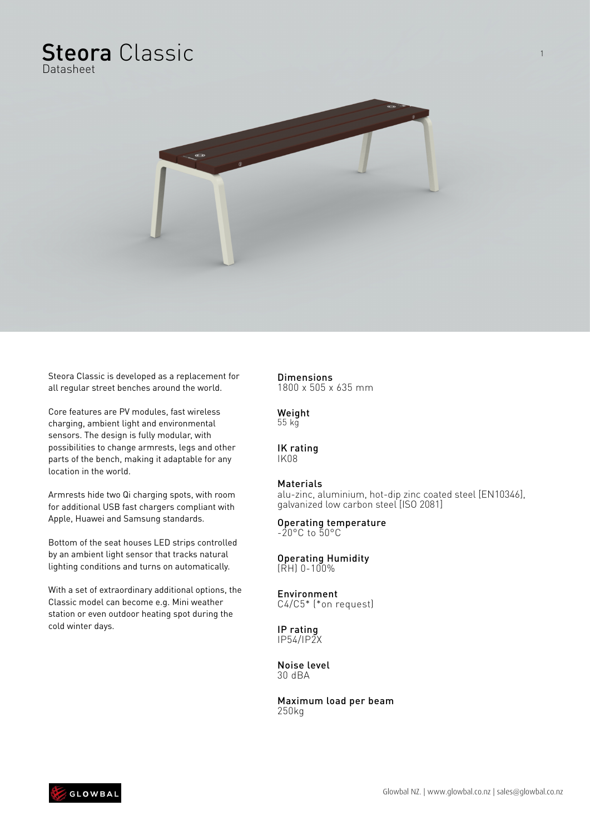## Steora Classic Datasheet

 $\overline{a-1}$ 



Core features are PV modules, fast wireless charging, ambient light and environmental sensors. The design is fully modular, with possibilities to change armrests, legs and other parts of the bench, making it adaptable for any location in the world.

Armrests hide two Qi charging spots, with room for additional USB fast chargers compliant with Apple, Huawei and Samsung standards.

Bottom of the seat houses LED strips controlled by an ambient light sensor that tracks natural lighting conditions and turns on automatically.

With a set of extraordinary additional options, the Classic model can become e.g. Mini weather station or even outdoor heating spot during the cold winter days.

## Dimensions

1800 x 505 x 635 mm

Weight 55 kg

#### IK rating IK08

### Materials

alu-zinc, aluminium, hot-dip zinc coated steel [EN10346], galvanized low carbon steel [ISO 2081]

#### Operating temperature -20°C to 50°C

#### Operating Humidity  $(RH)$  0-100%

#### Environment C4/C5\* (\*on request)

IP rating IP54/IP2X

Noise level 30 dBA

Maximum load per beam 250kg

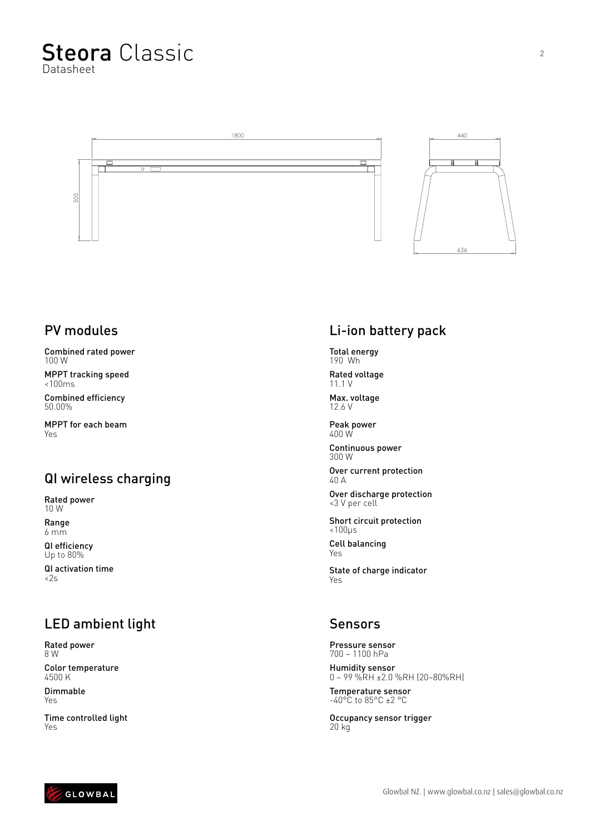



### PV modules

Combined rated power 100 W

MPPT tracking speed <100ms

Combined efficiency 50.00%

MPPT for each beam Yes

## QI wireless charging

Rated power 10 W

Range 6 mm

QI efficiency Up to 80%

QI activation time  $<2s$ 

## LED ambient light

Rated power 8 W

Color temperature 4500 K

Dimmable Yes

Time controlled light Yes

# Li-ion battery pack

Total energy 190 Wh

Rated voltage 11.1 V

Max. voltage 12.6 V

Peak power 400 W

Continuous power 300 W

Over current protection 40 A

Over discharge protection <3 V per cell

Short circuit protection <100μs

Cell balancing Yes

State of charge indicator Yes

### Sensors

Pressure sensor 700 ~ 1100 hPa

Humidity sensor 0 ~ 99 %RH ±2.0 %RH (20~80%RH)

Temperature sensor  $-40^{\circ}$ C to 85 $^{\circ}$ C ±2  $^{\circ}$ C

Occupancy sensor trigger 20 kg